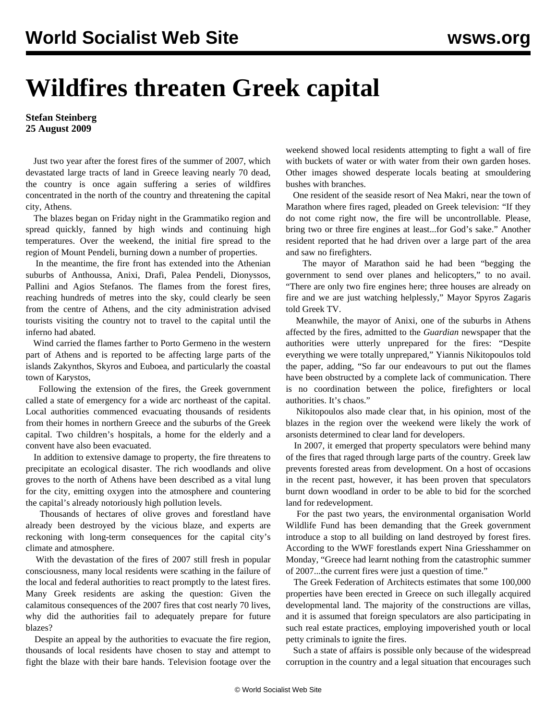## **Wildfires threaten Greek capital**

## **Stefan Steinberg 25 August 2009**

 Just two year after the forest fires of the summer of 2007, which devastated large tracts of land in Greece leaving nearly 70 dead, the country is once again suffering a series of wildfires concentrated in the north of the country and threatening the capital city, Athens.

 The blazes began on Friday night in the Grammatiko region and spread quickly, fanned by high winds and continuing high temperatures. Over the weekend, the initial fire spread to the region of Mount Pendeli, burning down a number of properties.

 In the meantime, the fire front has extended into the Athenian suburbs of Anthoussa, Anixi, Drafi, Palea Pendeli, Dionyssos, Pallini and Agios Stefanos. The flames from the forest fires, reaching hundreds of metres into the sky, could clearly be seen from the centre of Athens, and the city administration advised tourists visiting the country not to travel to the capital until the inferno had abated.

 Wind carried the flames farther to Porto Germeno in the western part of Athens and is reported to be affecting large parts of the islands Zakynthos, Skyros and Euboea, and particularly the coastal town of Karystos,

 Following the extension of the fires, the Greek government called a state of emergency for a wide arc northeast of the capital. Local authorities commenced evacuating thousands of residents from their homes in northern Greece and the suburbs of the Greek capital. Two children's hospitals, a home for the elderly and a convent have also been evacuated.

 In addition to extensive damage to property, the fire threatens to precipitate an ecological disaster. The rich woodlands and olive groves to the north of Athens have been described as a vital lung for the city, emitting oxygen into the atmosphere and countering the capital's already notoriously high pollution levels.

 Thousands of hectares of olive groves and forestland have already been destroyed by the vicious blaze, and experts are reckoning with long-term consequences for the capital city's climate and atmosphere.

 With the devastation of the fires of 2007 still fresh in popular consciousness, many local residents were scathing in the failure of the local and federal authorities to react promptly to the latest fires. Many Greek residents are asking the question: Given the calamitous consequences of the 2007 fires that cost nearly 70 lives, why did the authorities fail to adequately prepare for future blazes?

 Despite an appeal by the authorities to evacuate the fire region, thousands of local residents have chosen to stay and attempt to fight the blaze with their bare hands. Television footage over the weekend showed local residents attempting to fight a wall of fire with buckets of water or with water from their own garden hoses. Other images showed desperate locals beating at smouldering bushes with branches.

 One resident of the seaside resort of Nea Makri, near the town of Marathon where fires raged, pleaded on Greek television: "If they do not come right now, the fire will be uncontrollable. Please, bring two or three fire engines at least...for God's sake." Another resident reported that he had driven over a large part of the area and saw no firefighters.

 The mayor of Marathon said he had been "begging the government to send over planes and helicopters," to no avail. "There are only two fire engines here; three houses are already on fire and we are just watching helplessly," Mayor Spyros Zagaris told Greek TV.

 Meanwhile, the mayor of Anixi, one of the suburbs in Athens affected by the fires, admitted to the *Guardian* newspaper that the authorities were utterly unprepared for the fires: "Despite everything we were totally unprepared," Yiannis Nikitopoulos told the paper, adding, "So far our endeavours to put out the flames have been obstructed by a complete lack of communication. There is no coordination between the police, firefighters or local authorities. It's chaos."

 Nikitopoulos also made clear that, in his opinion, most of the blazes in the region over the weekend were likely the work of arsonists determined to clear land for developers.

 In 2007, it emerged that property speculators were behind many of the fires that raged through large parts of the country. Greek law prevents forested areas from development. On a host of occasions in the recent past, however, it has been proven that speculators burnt down woodland in order to be able to bid for the scorched land for redevelopment.

 For the past two years, the environmental organisation World Wildlife Fund has been demanding that the Greek government introduce a stop to all building on land destroyed by forest fires. According to the WWF forestlands expert Nina Griesshammer on Monday, "Greece had learnt nothing from the catastrophic summer of 2007...the current fires were just a question of time."

 The Greek Federation of Architects estimates that some 100,000 properties have been erected in Greece on such illegally acquired developmental land. The majority of the constructions are villas, and it is assumed that foreign speculators are also participating in such real estate practices, employing impoverished youth or local petty criminals to ignite the fires.

 Such a state of affairs is possible only because of the widespread corruption in the country and a legal situation that encourages such